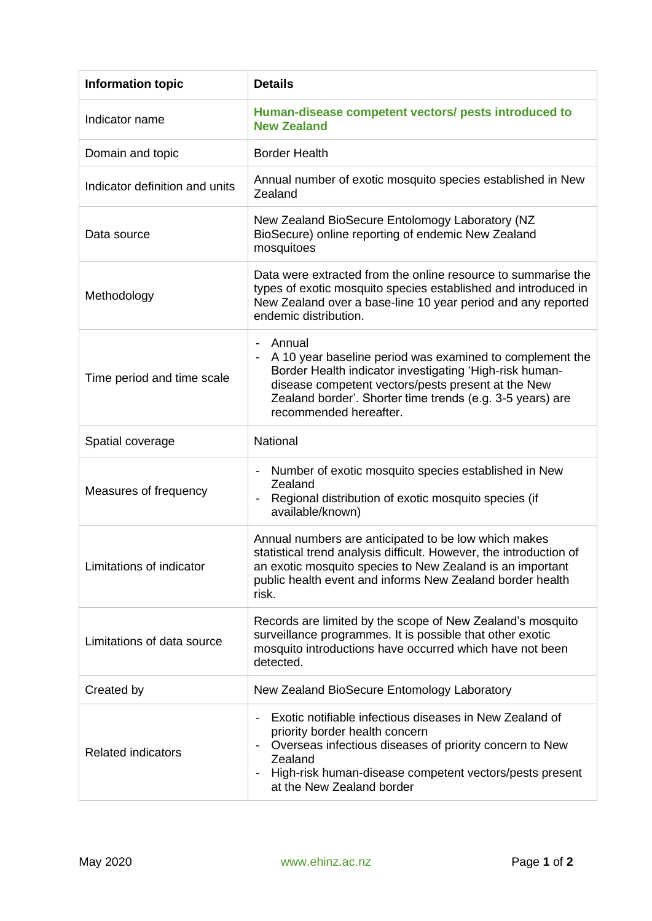| <b>Information topic</b>       | <b>Details</b>                                                                                                                                                                                                                                                                               |
|--------------------------------|----------------------------------------------------------------------------------------------------------------------------------------------------------------------------------------------------------------------------------------------------------------------------------------------|
| Indicator name                 | Human-disease competent vectors/ pests introduced to<br><b>New Zealand</b>                                                                                                                                                                                                                   |
| Domain and topic               | <b>Border Health</b>                                                                                                                                                                                                                                                                         |
| Indicator definition and units | Annual number of exotic mosquito species established in New<br>Zealand                                                                                                                                                                                                                       |
| Data source                    | New Zealand BioSecure Entolomogy Laboratory (NZ<br>BioSecure) online reporting of endemic New Zealand<br>mosquitoes                                                                                                                                                                          |
| Methodology                    | Data were extracted from the online resource to summarise the<br>types of exotic mosquito species established and introduced in<br>New Zealand over a base-line 10 year period and any reported<br>endemic distribution.                                                                     |
| Time period and time scale     | Annual<br>$\blacksquare$<br>A 10 year baseline period was examined to complement the<br>Border Health indicator investigating 'High-risk human-<br>disease competent vectors/pests present at the New<br>Zealand border'. Shorter time trends (e.g. 3-5 years) are<br>recommended hereafter. |
| Spatial coverage               | National                                                                                                                                                                                                                                                                                     |
| Measures of frequency          | Number of exotic mosquito species established in New<br>Zealand<br>Regional distribution of exotic mosquito species (if<br>available/known)                                                                                                                                                  |
| Limitations of indicator       | Annual numbers are anticipated to be low which makes<br>statistical trend analysis difficult. However, the introduction of<br>an exotic mosquito species to New Zealand is an important<br>public health event and informs New Zealand border health<br>risk.                                |
| Limitations of data source     | Records are limited by the scope of New Zealand's mosquito<br>surveillance programmes. It is possible that other exotic<br>mosquito introductions have occurred which have not been<br>detected.                                                                                             |
| Created by                     | New Zealand BioSecure Entomology Laboratory                                                                                                                                                                                                                                                  |
| <b>Related indicators</b>      | Exotic notifiable infectious diseases in New Zealand of<br>priority border health concern<br>Overseas infectious diseases of priority concern to New<br>Zealand<br>High-risk human-disease competent vectors/pests present<br>at the New Zealand border                                      |